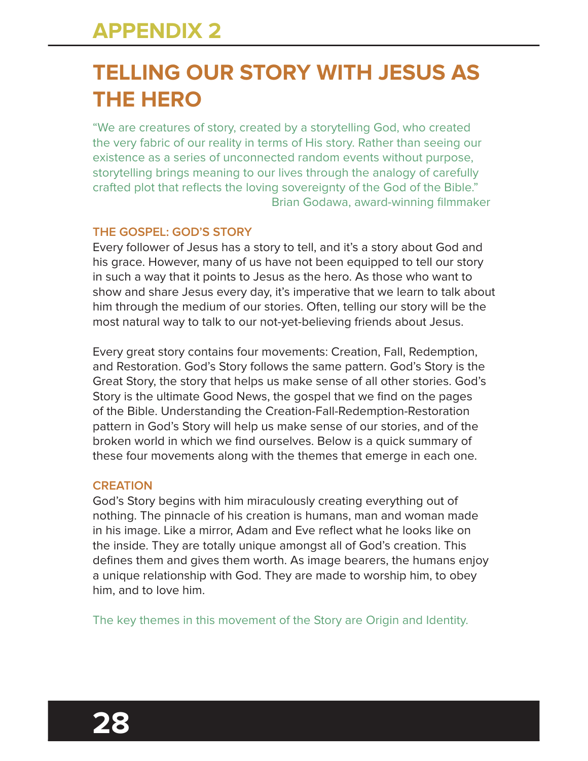# **TELLING OUR STORY WITH JESUS AS THE HERO**

"We are creatures of story, created by a storytelling God, who created the very fabric of our reality in terms of His story. Rather than seeing our existence as a series of unconnected random events without purpose, storytelling brings meaning to our lives through the analogy of carefully crafted plot that reflects the loving sovereignty of the God of the Bible." Brian Godawa, award-winning filmmaker

# **THE GOSPEL: GOD'S STORY**

Every follower of Jesus has a story to tell, and it's a story about God and his grace. However, many of us have not been equipped to tell our story in such a way that it points to Jesus as the hero. As those who want to show and share Jesus every day, it's imperative that we learn to talk about him through the medium of our stories. Often, telling our story will be the most natural way to talk to our not-yet-believing friends about Jesus.

Every great story contains four movements: Creation, Fall, Redemption, and Restoration. God's Story follows the same pattern. God's Story is the Great Story, the story that helps us make sense of all other stories. God's Story is the ultimate Good News, the gospel that we find on the pages of the Bible. Understanding the Creation-Fall-Redemption-Restoration pattern in God's Story will help us make sense of our stories, and of the broken world in which we find ourselves. Below is a quick summary of these four movements along with the themes that emerge in each one.

#### **CREATION**

God's Story begins with him miraculously creating everything out of nothing. The pinnacle of his creation is humans, man and woman made in his image. Like a mirror, Adam and Eve reflect what he looks like on the inside. They are totally unique amongst all of God's creation. This defines them and gives them worth. As image bearers, the humans enjoy a unique relationship with God. They are made to worship him, to obey him, and to love him.

The key themes in this movement of the Story are Origin and Identity.

**28**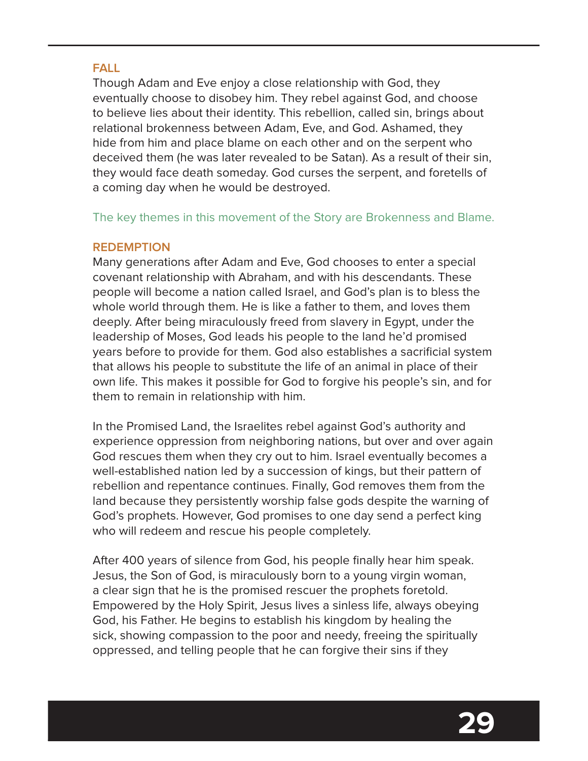### **FALL**

Though Adam and Eve enjoy a close relationship with God, they eventually choose to disobey him. They rebel against God, and choose to believe lies about their identity. This rebellion, called sin, brings about relational brokenness between Adam, Eve, and God. Ashamed, they hide from him and place blame on each other and on the serpent who deceived them (he was later revealed to be Satan). As a result of their sin, they would face death someday. God curses the serpent, and foretells of a coming day when he would be destroyed.

The key themes in this movement of the Story are Brokenness and Blame.

# **REDEMPTION**

Many generations after Adam and Eve, God chooses to enter a special covenant relationship with Abraham, and with his descendants. These people will become a nation called Israel, and God's plan is to bless the whole world through them. He is like a father to them, and loves them deeply. After being miraculously freed from slavery in Egypt, under the leadership of Moses, God leads his people to the land he'd promised years before to provide for them. God also establishes a sacrificial system that allows his people to substitute the life of an animal in place of their own life. This makes it possible for God to forgive his people's sin, and for them to remain in relationship with him.

In the Promised Land, the Israelites rebel against God's authority and experience oppression from neighboring nations, but over and over again God rescues them when they cry out to him. Israel eventually becomes a well-established nation led by a succession of kings, but their pattern of rebellion and repentance continues. Finally, God removes them from the land because they persistently worship false gods despite the warning of God's prophets. However, God promises to one day send a perfect king who will redeem and rescue his people completely.

After 400 years of silence from God, his people finally hear him speak. Jesus, the Son of God, is miraculously born to a young virgin woman, a clear sign that he is the promised rescuer the prophets foretold. Empowered by the Holy Spirit, Jesus lives a sinless life, always obeying God, his Father. He begins to establish his kingdom by healing the sick, showing compassion to the poor and needy, freeing the spiritually oppressed, and telling people that he can forgive their sins if they

**29**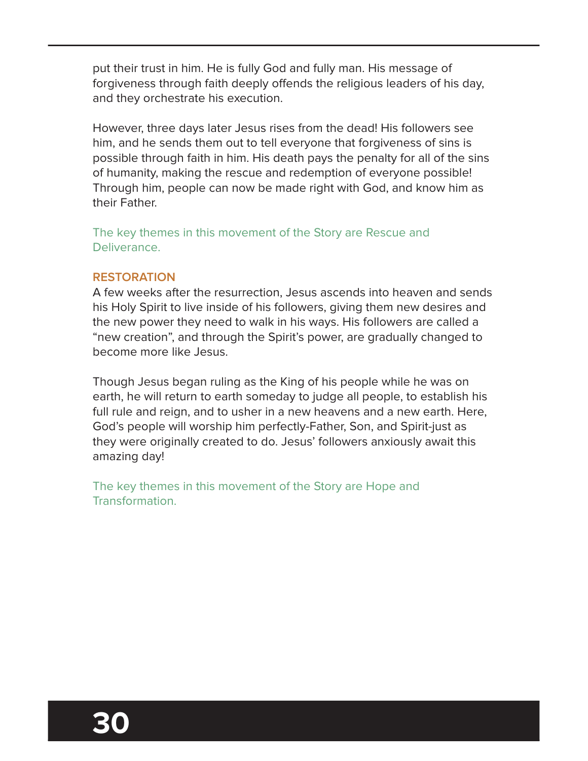put their trust in him. He is fully God and fully man. His message of forgiveness through faith deeply offends the religious leaders of his day, and they orchestrate his execution.

However, three days later Jesus rises from the dead! His followers see him, and he sends them out to tell everyone that forgiveness of sins is possible through faith in him. His death pays the penalty for all of the sins of humanity, making the rescue and redemption of everyone possible! Through him, people can now be made right with God, and know him as their Father.

The key themes in this movement of the Story are Rescue and Deliverance.

# **RESTORATION**

A few weeks after the resurrection, Jesus ascends into heaven and sends his Holy Spirit to live inside of his followers, giving them new desires and the new power they need to walk in his ways. His followers are called a "new creation", and through the Spirit's power, are gradually changed to become more like Jesus.

Though Jesus began ruling as the King of his people while he was on earth, he will return to earth someday to judge all people, to establish his full rule and reign, and to usher in a new heavens and a new earth. Here, God's people will worship him perfectly-Father, Son, and Spirit-just as they were originally created to do. Jesus' followers anxiously await this amazing day!

The key themes in this movement of the Story are Hope and Transformation.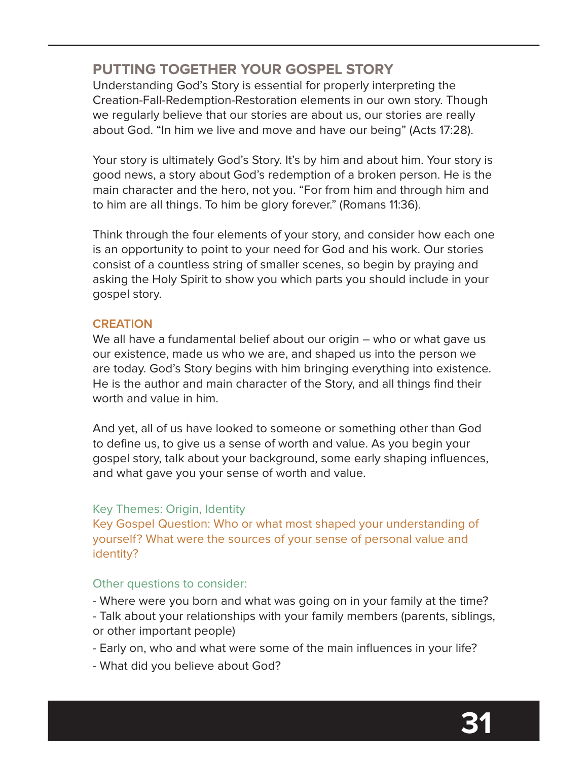# **PUTTING TOGETHER YOUR GOSPEL STORY**

Understanding God's Story is essential for properly interpreting the Creation-Fall-Redemption-Restoration elements in our own story. Though we regularly believe that our stories are about us, our stories are really about God. "In him we live and move and have our being" (Acts 17:28).

Your story is ultimately God's Story. It's by him and about him. Your story is good news, a story about God's redemption of a broken person. He is the main character and the hero, not you. "For from him and through him and to him are all things. To him be glory forever." (Romans 11:36).

Think through the four elements of your story, and consider how each one is an opportunity to point to your need for God and his work. Our stories consist of a countless string of smaller scenes, so begin by praying and asking the Holy Spirit to show you which parts you should include in your gospel story.

### **CREATION**

We all have a fundamental belief about our origin – who or what gave us our existence, made us who we are, and shaped us into the person we are today. God's Story begins with him bringing everything into existence. He is the author and main character of the Story, and all things find their worth and value in him.

And yet, all of us have looked to someone or something other than God to define us, to give us a sense of worth and value. As you begin your gospel story, talk about your background, some early shaping influences, and what gave you your sense of worth and value.

#### Key Themes: Origin, Identity

Key Gospel Question: Who or what most shaped your understanding of yourself? What were the sources of your sense of personal value and identity?

# Other questions to consider:

- Where were you born and what was going on in your family at the time? - Talk about your relationships with your family members (parents, siblings, or other important people)

- Early on, who and what were some of the main influences in your life?
- What did you believe about God?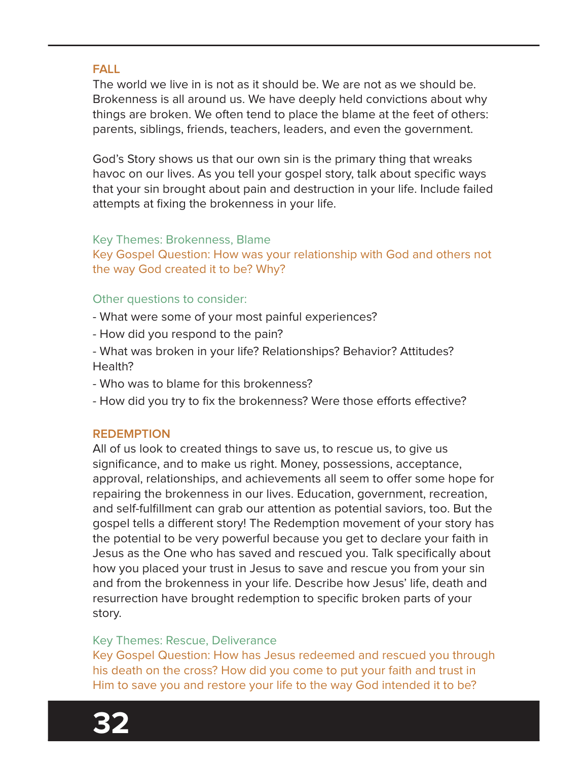### **FALL**

The world we live in is not as it should be. We are not as we should be. Brokenness is all around us. We have deeply held convictions about why things are broken. We often tend to place the blame at the feet of others: parents, siblings, friends, teachers, leaders, and even the government.

God's Story shows us that our own sin is the primary thing that wreaks havoc on our lives. As you tell your gospel story, talk about specific ways that your sin brought about pain and destruction in your life. Include failed attempts at fixing the brokenness in your life.

#### Key Themes: Brokenness, Blame

Key Gospel Question: How was your relationship with God and others not the way God created it to be? Why?

### Other questions to consider:

- What were some of your most painful experiences?
- How did you respond to the pain?
- What was broken in your life? Relationships? Behavior? Attitudes? Health?
- Who was to blame for this brokenness?
- How did you try to fix the brokenness? Were those efforts effective?

# **REDEMPTION**

All of us look to created things to save us, to rescue us, to give us significance, and to make us right. Money, possessions, acceptance, approval, relationships, and achievements all seem to offer some hope for repairing the brokenness in our lives. Education, government, recreation, and self-fulfillment can grab our attention as potential saviors, too. But the gospel tells a diferent story! The Redemption movement of your story has the potential to be very powerful because you get to declare your faith in Jesus as the One who has saved and rescued you. Talk specifically about how you placed your trust in Jesus to save and rescue you from your sin and from the brokenness in your life. Describe how Jesus' life, death and resurrection have brought redemption to specific broken parts of your story.

# Key Themes: Rescue, Deliverance

Key Gospel Question: How has Jesus redeemed and rescued you through his death on the cross? How did you come to put your faith and trust in Him to save you and restore your life to the way God intended it to be?

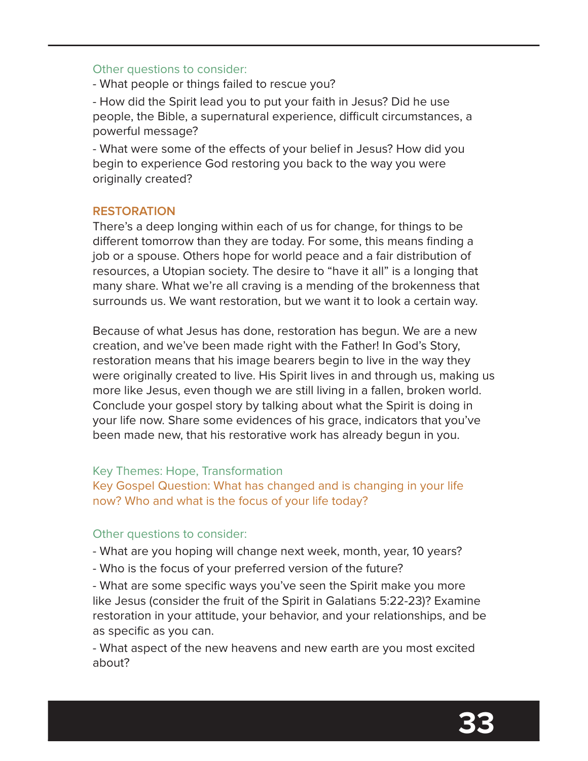#### Other questions to consider:

- What people or things failed to rescue you?

- How did the Spirit lead you to put your faith in Jesus? Did he use people, the Bible, a supernatural experience, difficult circumstances, a powerful message?

- What were some of the effects of your belief in Jesus? How did you begin to experience God restoring you back to the way you were originally created?

#### **RESTORATION**

There's a deep longing within each of us for change, for things to be diferent tomorrow than they are today. For some, this means finding a job or a spouse. Others hope for world peace and a fair distribution of resources, a Utopian society. The desire to "have it all" is a longing that many share. What we're all craving is a mending of the brokenness that surrounds us. We want restoration, but we want it to look a certain way.

Because of what Jesus has done, restoration has begun. We are a new creation, and we've been made right with the Father! In God's Story, restoration means that his image bearers begin to live in the way they were originally created to live. His Spirit lives in and through us, making us more like Jesus, even though we are still living in a fallen, broken world. Conclude your gospel story by talking about what the Spirit is doing in your life now. Share some evidences of his grace, indicators that you've been made new, that his restorative work has already begun in you.

#### Key Themes: Hope, Transformation

Key Gospel Question: What has changed and is changing in your life now? Who and what is the focus of your life today?

#### Other questions to consider:

- What are you hoping will change next week, month, year, 10 years?

- Who is the focus of your preferred version of the future?

- What are some specific ways you've seen the Spirit make you more like Jesus (consider the fruit of the Spirit in Galatians 5:22-23)? Examine restoration in your attitude, your behavior, and your relationships, and be as specific as you can.

- What aspect of the new heavens and new earth are you most excited about?

**33**